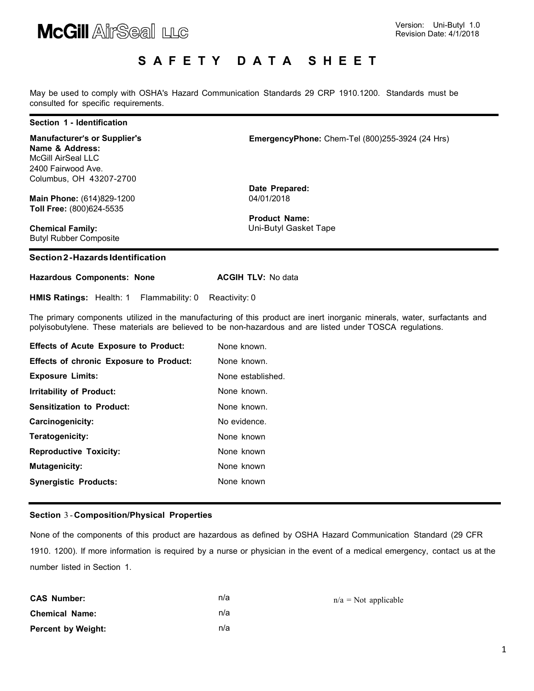

### S A F E T Y D A T A S H E E T

May be used to comply with OSHA's Hazard Communication Standards 29 CRP 1910.1200. Standards must be consulted for specific requirements.

#### Section 1 - Identification

Manufacturer's or Supplier's Name & Address: McGill AirSeal LLC 2400 Fairwood Ave. Columbus, OH 43207-2700

Main Phone: (614)829-1200 Toll Free: (800)624-5535

Chemical Family: Butyl Rubber Composite

### Section 2 - Hazards Identification

| <b>Hazardous Components: None</b> | <b>ACGIH TLV: No data</b> |
|-----------------------------------|---------------------------|
|                                   |                           |

HMIS Ratings: Health: 1 Flammability: 0 Reactivity: 0

The primary components utilized in the manufacturing of this product are inert inorganic minerals, water, surfactants and polyisobutylene. These materials are believed to be non-hazardous and are listed under TOSCA regulations.

| <b>Effects of Acute Exposure to Product:</b>   | None known.       |
|------------------------------------------------|-------------------|
| <b>Effects of chronic Exposure to Product:</b> | None known.       |
| <b>Exposure Limits:</b>                        | None established. |
| Irritability of Product:                       | None known.       |
| <b>Sensitization to Product:</b>               | None known.       |
| Carcinogenicity:                               | No evidence.      |
| Teratogenicity:                                | None known        |
| <b>Reproductive Toxicity:</b>                  | None known        |
| Mutagenicity:                                  | None known        |
| <b>Synergistic Products:</b>                   | None known        |

### Section 3 - Composition/Physical Properties

None of the components of this product are hazardous as defined by OSHA Hazard Communication Standard (29 CFR 1910. 1200). If more information is required by a nurse or physician in the event of a medical emergency, contact us at the number listed in Section 1.

| <b>CAS Number:</b>        | n/a |
|---------------------------|-----|
| <b>Chemical Name:</b>     | n/a |
| <b>Percent by Weight:</b> | n/a |

EmergencyPhone: Chem-Tel (800)255-3924 (24 Hrs)

 $n/a = Not$  applicable

Date Prepared: 04/01/2018

Product Name: Uni-Butyl Gasket Tape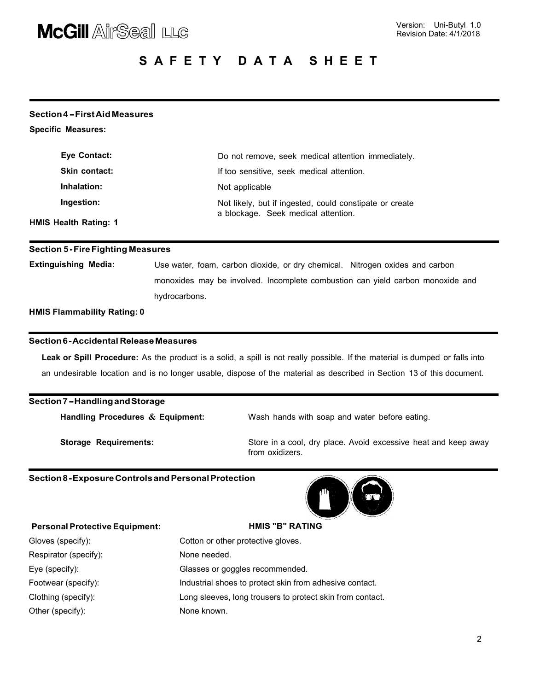# **McGill AirSeal LLG**

# S A F E T Y D A T A S H E E T

### Section 4 - First Aid Measures

Specific Measures:

| Eye Contact:                 | Do not remove, seek medical attention immediately.                                             |
|------------------------------|------------------------------------------------------------------------------------------------|
| <b>Skin contact:</b>         | If too sensitive, seek medical attention.                                                      |
| Inhalation:                  | Not applicable                                                                                 |
| Ingestion:                   | Not likely, but if ingested, could constipate or create<br>a blockage. Seek medical attention. |
| <b>HMIS Health Rating: 1</b> |                                                                                                |

### Section 5 - Fire Fighting Measures

Extinguishing Media: Use water, foam, carbon dioxide, or dry chemical. Nitrogen oxides and carbon monoxides may be involved. Incomplete combustion can yield carbon monoxide and hydrocarbons.

HMIS Flammability Rating: 0

### Section 6 - Accidental Release Measures

Leak or Spill Procedure: As the product is a solid, a spill is not really possible. If the material is dumped or falls into an undesirable location and is no longer usable, dispose of the material as described in Section 13 of this document.

### Section 7 - Handling and Storage

Handling Procedures & Equipment: Wash hands with soap and water before eating.

Storage Requirements: Store in a cool, dry place. Avoid excessive heat and keep away from oxidizers.

### Section 8 - Exposure Controls and Personal Protection



### Personal Protective Equipment: 
HMIS "B" RATING

| Gloves (specify):     | Cotton or other protective gloves.                        |
|-----------------------|-----------------------------------------------------------|
| Respirator (specify): | None needed.                                              |
| Eye (specify):        | Glasses or goggles recommended.                           |
| Footwear (specify):   | Industrial shoes to protect skin from adhesive contact.   |
| Clothing (specify):   | Long sleeves, long trousers to protect skin from contact. |
| Other (specify):      | None known.                                               |
|                       |                                                           |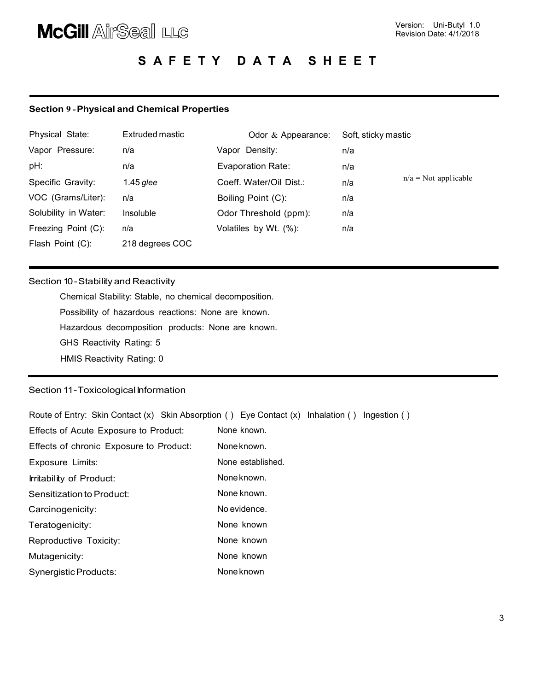# **McGill AirSeal LLG**

# S A F E T Y D A T A S H E E T

### Section 9 - Physical and Chemical Properties

| Physical State:      | Extruded mastic | Odor & Appearance:       | Soft, sticky mastic |                        |
|----------------------|-----------------|--------------------------|---------------------|------------------------|
| Vapor Pressure:      | n/a             | Vapor Density:           | n/a                 |                        |
| pH:                  | n/a             | <b>Evaporation Rate:</b> | n/a                 |                        |
| Specific Gravity:    | 1.45 glee       | Coeff. Water/Oil Dist.:  | n/a                 | $n/a = Not$ applicable |
| VOC (Grams/Liter):   | n/a             | Boiling Point (C):       | n/a                 |                        |
| Solubility in Water: | Insoluble       | Odor Threshold (ppm):    | n/a                 |                        |
| Freezing Point (C):  | n/a             | Volatiles by Wt. (%):    | n/a                 |                        |
| Flash Point (C):     | 218 degrees COC |                          |                     |                        |

### Section 10 - Stability and Reactivity

Chemical Stability: Stable, no chemical decomposition. Possibility of hazardous reactions: None are known. Hazardous decomposition products: None are known. GHS Reactivity Rating: 5 HMIS Reactivity Rating: 0

### Section 11-Toxicological Information

Route of Entry: Skin Contact (x) Skin Absorption ( ) Eye Contact (x) Inhalation ( ) Ingestion ( )

| Effects of Acute Exposure to Product:   | None known.       |
|-----------------------------------------|-------------------|
| Effects of chronic Exposure to Product: | None known.       |
| Exposure Limits:                        | None established. |
| Irritability of Product:                | None known.       |
| Sensitization to Product:               | None known.       |
| Carcinogenicity:                        | No evidence.      |
| Teratogenicity:                         | None known        |
| Reproductive Toxicity:                  | None known        |
| Mutagenicity:                           | None known        |
| Synergistic Products:                   | None known        |